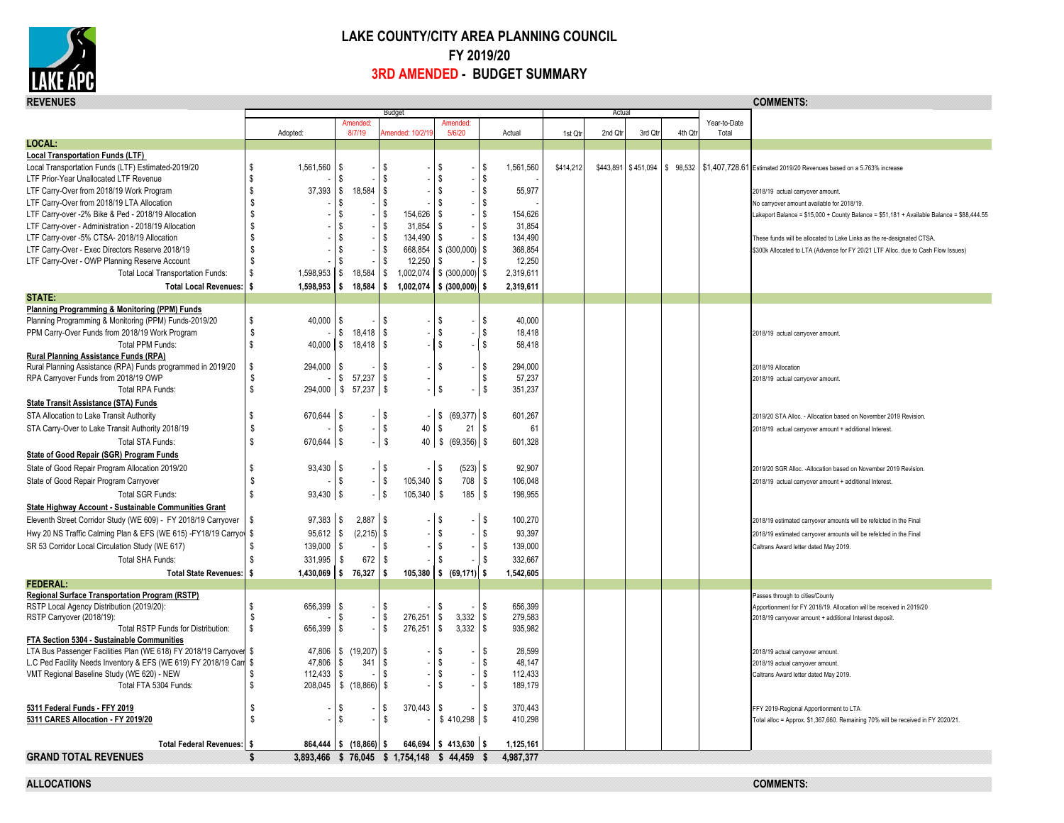

## **LAKE COUNTY/CITY AREA PLANNING COUNCIL FY 2019/20 3RD AMENDED - BUDGET SUMMARY**

| Actua<br>Amended:<br>Amended:<br>Year-to-Date<br>8/7/19<br>5/6/20<br>2nd Qtr<br>3rd Qtr<br>4th Qt<br>Total<br>Adopted:<br>mended: 10/2/1<br>Actual<br>1st Qtr<br>LOCAL:<br><b>Local Transportation Funds (LTF)</b><br>Local Transportation Funds (LTF) Estimated-2019/20<br>\$<br>1,561,560<br>$\sqrt{3}$<br>\$<br>1,561,560<br>\$414,212<br>\$443,891 \$451,094 \$98,532 \$1,407,728.61 Estimated 2019/20 Revenues based on a 5.763% increase<br>S<br>\$<br>$\mathbf{\hat{s}}$<br>\$<br>\$<br>\$<br>LTF Prior-Year Unallocated LTF Revenue<br>\$<br>\$<br>18,584<br>\$<br>55,977<br>37,393<br><b>S</b><br>LTF Carry-Over from 2018/19 Work Program<br>\$<br>-\$<br>2018/19 actual carryover amount.<br>S.<br>s.<br>LTF Carry-Over from 2018/19 LTA Allocation<br>\$.<br>S<br>-S<br>No carryover amount available for 2018/19.<br>\$<br>\$<br>LTF Carry-over -2% Bike & Ped - 2018/19 Allocation<br>\$<br>\$<br>154,626<br>\$<br>154,626<br>akeport Balance = \$15,000 + County Balance = \$51,181 + Available Balance = \$88,444.55<br>\$<br>31,854<br>s.<br>31.854<br>LTF Carry-over - Administration - 2018/19 Allocation<br>\$<br>\$<br>-S<br>\$<br>\$<br>134,490<br>\$<br>134,490<br>LTF Carry-over -5% CTSA- 2018/19 Allocation<br><b>\$</b><br>-S<br>These funds will be allocated to Lake Links as the re-designated CTSA.<br>S.<br>668,854<br>\$ (300,000)<br>s.<br>368.854<br>LTF Carry-Over - Exec Directors Reserve 2018/19<br>\$<br>\$<br>\$300k Allocated to LTA (Advance for FY 20/21 LTF Alloc. due to Cash Flow Issues)<br>\$<br>12,250<br>12,250<br>LTF Carry-Over - OWP Planning Reserve Account<br>\$<br>\$<br>S<br>\$<br>\$<br>1,002,074<br>\$ (300,000)<br>s.<br>2,319,611<br><b>Total Local Transportation Funds:</b><br>1,598,953<br>\$<br>18,584<br>\$<br>Ŝ<br>\$ (300,000)<br><b>Total Local Revenues:</b><br>1,598,953<br>18,584<br>s.<br>1,002,074<br>s<br>2,319,611<br>l S<br>STATE:<br>Planning Programming & Monitoring (PPM) Funds<br>\$<br>40.000<br><b>S</b><br>40.000<br>Planning Programming & Monitoring (PPM) Funds-2019/20<br>\$<br>-S<br>s.<br>$\mathbb S$<br>\$<br>\$<br>18,418<br>PPM Carry-Over Funds from 2018/19 Work Program<br>\$<br>$18,418$ $\sqrt{5}$<br>2018/19 actual carryover amount.<br>$\mathbb S$<br>s<br>\$<br>Total PPM Funds:<br>$40,000$ \$<br>$18,418$ \$<br>58,418<br>Rural Planning Assistance Funds (RPA)<br>\$<br>\$<br>Rural Planning Assistance (RPA) Funds programmed in 2019/20<br>\$<br>294,000<br><b>S</b><br>294,000<br>\$<br>2018/19 Allocation<br>RPA Carryover Funds from 2018/19 OWP<br>S.<br>$57,237$ $\frac{8}{3}$<br>\$<br>57,237<br>\$<br>2018/19 actual carryover amount.<br>Total RPA Funds:<br>\$<br>$294,000$ \$ 57,237 \$<br><sub>\$</sub><br>\$<br>351,237<br><b>State Transit Assistance (STA) Funds</b><br>\$<br>$(69,377)$ \$<br>$670,644$ \$<br>601,267<br>STA Allocation to Lake Transit Authority<br>-1\$<br>l \$<br>2019/20 STA Alloc. - Allocation based on November 2019 Revision.<br>40<br>\$<br>\$<br>$\sqrt{3}$<br>$-$ \$<br>21<br>l \$<br>61<br>STA Carry-Over to Lake Transit Authority 2018/19<br>2018/19 actual carryover amount + additional Interest.<br>\$<br>$-$ \$<br>670,644 \$<br>40<br>601,328<br>Total STA Funds:<br>State of Good Repair (SGR) Program Funds<br>$93.430$ \ \$<br>$(523)$ \$<br>$-1$ \$<br>l \$<br>State of Good Repair Program Allocation 2019/20<br>\$<br>92,907<br>2019/20 SGR Alloc. -Allocation based on November 2019 Revision.<br>\$<br>\$<br>$\sqrt{3}$<br>-   \$<br>105,340<br>708<br>\$<br>106,048<br>State of Good Repair Program Carryover<br>2018/19 actual carryover amount + additional Interest<br>\$<br>l s<br>$185$ \$<br>93,430 \$<br>$ \sqrt$<br>105,340<br>198,955<br><b>Total SGR Funds:</b><br>State Highway Account - Sustainable Communities Grant<br>\$<br>Eleventh Street Corridor Study (WE 609) - FY 2018/19 Carryover<br>$97,383$ \$<br>$2,887$ \$<br>S.<br>100,270<br>S<br>2018/19 estimated carryover amounts will be refelcted in the Final<br>$\boldsymbol{\mathsf{s}}$<br>\$<br>$(2,215)$ \$<br>93,397<br>Hwy 20 NS Traffic Calming Plan & EFS (WE 615) -FY18/19 Carryov<br>\$<br>$95,612$ \$<br>2018/19 estimated carryover amounts will be refelcted in the Final<br>$\mathbb S$<br>\$<br>\$<br>\$<br>139.000<br>SR 53 Corridor Local Circulation Study (WE 617)<br>139,000<br>$\sqrt{3}$<br>Caltrans Award letter dated May 2019.<br>\$<br>331,995<br>672<br>$\mathbf{\hat{s}}$<br>\$<br>332,667<br>Total SHA Funds:<br>\$<br>S.<br>$$ (69, 171)$ \$<br>s.<br>\$76,327<br>105,380<br>1,542,605<br><b>Total State Revenues:</b><br>1,430,069<br>l S<br><b>FEDERAL:</b><br>Regional Surface Transportation Program (RSTP)<br>Passes through to cities/County<br>RSTP Local Agency Distribution (2019/20):<br>\$<br>656,399<br>\$<br>s<br>S<br>656,399<br>\$<br>Apportionment for FY 2018/19. Allocation will be received in 2019/20<br>\$<br>3,332<br>279.583<br>RSTP Carryover (2018/19):<br>S<br>\$<br>276,251<br>\$<br>\$<br>2018/19 carryover amount + additional Interest deposit<br>\$<br>\$<br>\$<br>276,251<br>3,332<br>\$<br>935,982<br>Total RSTP Funds for Distribution:<br>$656.399$ \ \$<br>FTA Section 5304 - Sustainable Communities<br>\$<br>LTA Bus Passenger Facilities Plan (WE 618) FY 2018/19 Carryover<br>47,806<br>$\frac{1}{2}$ (19,207) \$<br>S.<br>28.599<br>s.<br>2018/19 actual carryover amount.<br>48,147<br>L.C Ped Facility Needs Inventory & EFS (WE 619) FY 2018/19 Carr<br>\$<br>47,806<br>$\sqrt[6]{3}$<br>341<br><b>S</b><br>\$<br>\$<br>2018/19 actual carryover amount.<br><b>S</b><br>\$<br>VMT Regional Baseline Study (WE 620) - NEW<br>112,433<br>\$<br>112,433<br>S.<br>S.<br>Caltrans Award letter dated May 2019.<br>$208,045$ \$ $(18,866)$ \$<br>$\mathbf{\hat{s}}$<br>189,179<br>Total FTA 5304 Funds:<br>\$<br>\$.<br>5311 Federal Funds - FFY 2019<br>S<br>370,443<br>S<br>370,443<br>S<br>S.<br>S.<br>FFY 2019-Regional Apportionment to LTA<br>\$<br>5311 CARES Allocation - FY 2019/20<br>S.<br>S.<br>410,298<br>Total alloc = Approx. \$1,367,660. Remaining 70% will be received in FY 2020/21.<br>$$413,630$ \ \$<br>1,125,161<br><b>Total Federal Revenues: \$</b><br>$864,444$ \$ $(18,866)$ \$<br>646,694<br><b>GRAND TOTAL REVENUES</b><br>s.<br>3,893,466 \$76,045 \$1,754,148 \$44,459 \$<br>4,987,377 | <b>REVENUES</b> |  |               |  |  |  | <b>COMMENTS:</b> |
|-------------------------------------------------------------------------------------------------------------------------------------------------------------------------------------------------------------------------------------------------------------------------------------------------------------------------------------------------------------------------------------------------------------------------------------------------------------------------------------------------------------------------------------------------------------------------------------------------------------------------------------------------------------------------------------------------------------------------------------------------------------------------------------------------------------------------------------------------------------------------------------------------------------------------------------------------------------------------------------------------------------------------------------------------------------------------------------------------------------------------------------------------------------------------------------------------------------------------------------------------------------------------------------------------------------------------------------------------------------------------------------------------------------------------------------------------------------------------------------------------------------------------------------------------------------------------------------------------------------------------------------------------------------------------------------------------------------------------------------------------------------------------------------------------------------------------------------------------------------------------------------------------------------------------------------------------------------------------------------------------------------------------------------------------------------------------------------------------------------------------------------------------------------------------------------------------------------------------------------------------------------------------------------------------------------------------------------------------------------------------------------------------------------------------------------------------------------------------------------------------------------------------------------------------------------------------------------------------------------------------------------------------------------------------------------------------------------------------------------------------------------------------------------------------------------------------------------------------------------------------------------------------------------------------------------------------------------------------------------------------------------------------------------------------------------------------------------------------------------------------------------------------------------------------------------------------------------------------------------------------------------------------------------------------------------------------------------------------------------------------------------------------------------------------------------------------------------------------------------------------------------------------------------------------------------------------------------------------------------------------------------------------------------------------------------------------------------------------------------------------------------------------------------------------------------------------------------------------------------------------------------------------------------------------------------------------------------------------------------------------------------------------------------------------------------------------------------------------------------------------------------------------------------------------------------------------------------------------------------------------------------------------------------------------------------------------------------------------------------------------------------------------------------------------------------------------------------------------------------------------------------------------------------------------------------------------------------------------------------------------------------------------------------------------------------------------------------------------------------------------------------------------------------------------------------------------------------------------------------------------------------------------------------------------------------------------------------------------------------------------------------------------------------------------------------------------------------------------------------------------------------------------------------------------------------------------------------------------------------------------------------------------------------------------------------------------------------------------------------------------------------------------------------------------------------------------------------------------------------------------------------------------------------------------------------------------------------------------------------------------------------------------------------------------------------------------------------------------------------------------------------------------------------------------------------------------------------------------------------------------------------------------------------------------------------------------------------------------------------------------------------------------------------------------------------------------------------------------------------------------------------------------------------------------------------------------------------------------------------------------------------------------------------------------------------------------------------------|-----------------|--|---------------|--|--|--|------------------|
|                                                                                                                                                                                                                                                                                                                                                                                                                                                                                                                                                                                                                                                                                                                                                                                                                                                                                                                                                                                                                                                                                                                                                                                                                                                                                                                                                                                                                                                                                                                                                                                                                                                                                                                                                                                                                                                                                                                                                                                                                                                                                                                                                                                                                                                                                                                                                                                                                                                                                                                                                                                                                                                                                                                                                                                                                                                                                                                                                                                                                                                                                                                                                                                                                                                                                                                                                                                                                                                                                                                                                                                                                                                                                                                                                                                                                                                                                                                                                                                                                                                                                                                                                                                                                                                                                                                                                                                                                                                                                                                                                                                                                                                                                                                                                                                                                                                                                                                                                                                                                                                                                                                                                                                                                                                                                                                                                                                                                                                                                                                                                                                                                                                                                                                                                                                                                                                                                                                                                                                                                                                                                                                                                                                                                                                                                                                                           |                 |  | <b>Budget</b> |  |  |  |                  |
|                                                                                                                                                                                                                                                                                                                                                                                                                                                                                                                                                                                                                                                                                                                                                                                                                                                                                                                                                                                                                                                                                                                                                                                                                                                                                                                                                                                                                                                                                                                                                                                                                                                                                                                                                                                                                                                                                                                                                                                                                                                                                                                                                                                                                                                                                                                                                                                                                                                                                                                                                                                                                                                                                                                                                                                                                                                                                                                                                                                                                                                                                                                                                                                                                                                                                                                                                                                                                                                                                                                                                                                                                                                                                                                                                                                                                                                                                                                                                                                                                                                                                                                                                                                                                                                                                                                                                                                                                                                                                                                                                                                                                                                                                                                                                                                                                                                                                                                                                                                                                                                                                                                                                                                                                                                                                                                                                                                                                                                                                                                                                                                                                                                                                                                                                                                                                                                                                                                                                                                                                                                                                                                                                                                                                                                                                                                                           |                 |  |               |  |  |  |                  |
|                                                                                                                                                                                                                                                                                                                                                                                                                                                                                                                                                                                                                                                                                                                                                                                                                                                                                                                                                                                                                                                                                                                                                                                                                                                                                                                                                                                                                                                                                                                                                                                                                                                                                                                                                                                                                                                                                                                                                                                                                                                                                                                                                                                                                                                                                                                                                                                                                                                                                                                                                                                                                                                                                                                                                                                                                                                                                                                                                                                                                                                                                                                                                                                                                                                                                                                                                                                                                                                                                                                                                                                                                                                                                                                                                                                                                                                                                                                                                                                                                                                                                                                                                                                                                                                                                                                                                                                                                                                                                                                                                                                                                                                                                                                                                                                                                                                                                                                                                                                                                                                                                                                                                                                                                                                                                                                                                                                                                                                                                                                                                                                                                                                                                                                                                                                                                                                                                                                                                                                                                                                                                                                                                                                                                                                                                                                                           |                 |  |               |  |  |  |                  |
|                                                                                                                                                                                                                                                                                                                                                                                                                                                                                                                                                                                                                                                                                                                                                                                                                                                                                                                                                                                                                                                                                                                                                                                                                                                                                                                                                                                                                                                                                                                                                                                                                                                                                                                                                                                                                                                                                                                                                                                                                                                                                                                                                                                                                                                                                                                                                                                                                                                                                                                                                                                                                                                                                                                                                                                                                                                                                                                                                                                                                                                                                                                                                                                                                                                                                                                                                                                                                                                                                                                                                                                                                                                                                                                                                                                                                                                                                                                                                                                                                                                                                                                                                                                                                                                                                                                                                                                                                                                                                                                                                                                                                                                                                                                                                                                                                                                                                                                                                                                                                                                                                                                                                                                                                                                                                                                                                                                                                                                                                                                                                                                                                                                                                                                                                                                                                                                                                                                                                                                                                                                                                                                                                                                                                                                                                                                                           |                 |  |               |  |  |  |                  |
|                                                                                                                                                                                                                                                                                                                                                                                                                                                                                                                                                                                                                                                                                                                                                                                                                                                                                                                                                                                                                                                                                                                                                                                                                                                                                                                                                                                                                                                                                                                                                                                                                                                                                                                                                                                                                                                                                                                                                                                                                                                                                                                                                                                                                                                                                                                                                                                                                                                                                                                                                                                                                                                                                                                                                                                                                                                                                                                                                                                                                                                                                                                                                                                                                                                                                                                                                                                                                                                                                                                                                                                                                                                                                                                                                                                                                                                                                                                                                                                                                                                                                                                                                                                                                                                                                                                                                                                                                                                                                                                                                                                                                                                                                                                                                                                                                                                                                                                                                                                                                                                                                                                                                                                                                                                                                                                                                                                                                                                                                                                                                                                                                                                                                                                                                                                                                                                                                                                                                                                                                                                                                                                                                                                                                                                                                                                                           |                 |  |               |  |  |  |                  |
|                                                                                                                                                                                                                                                                                                                                                                                                                                                                                                                                                                                                                                                                                                                                                                                                                                                                                                                                                                                                                                                                                                                                                                                                                                                                                                                                                                                                                                                                                                                                                                                                                                                                                                                                                                                                                                                                                                                                                                                                                                                                                                                                                                                                                                                                                                                                                                                                                                                                                                                                                                                                                                                                                                                                                                                                                                                                                                                                                                                                                                                                                                                                                                                                                                                                                                                                                                                                                                                                                                                                                                                                                                                                                                                                                                                                                                                                                                                                                                                                                                                                                                                                                                                                                                                                                                                                                                                                                                                                                                                                                                                                                                                                                                                                                                                                                                                                                                                                                                                                                                                                                                                                                                                                                                                                                                                                                                                                                                                                                                                                                                                                                                                                                                                                                                                                                                                                                                                                                                                                                                                                                                                                                                                                                                                                                                                                           |                 |  |               |  |  |  |                  |
|                                                                                                                                                                                                                                                                                                                                                                                                                                                                                                                                                                                                                                                                                                                                                                                                                                                                                                                                                                                                                                                                                                                                                                                                                                                                                                                                                                                                                                                                                                                                                                                                                                                                                                                                                                                                                                                                                                                                                                                                                                                                                                                                                                                                                                                                                                                                                                                                                                                                                                                                                                                                                                                                                                                                                                                                                                                                                                                                                                                                                                                                                                                                                                                                                                                                                                                                                                                                                                                                                                                                                                                                                                                                                                                                                                                                                                                                                                                                                                                                                                                                                                                                                                                                                                                                                                                                                                                                                                                                                                                                                                                                                                                                                                                                                                                                                                                                                                                                                                                                                                                                                                                                                                                                                                                                                                                                                                                                                                                                                                                                                                                                                                                                                                                                                                                                                                                                                                                                                                                                                                                                                                                                                                                                                                                                                                                                           |                 |  |               |  |  |  |                  |
|                                                                                                                                                                                                                                                                                                                                                                                                                                                                                                                                                                                                                                                                                                                                                                                                                                                                                                                                                                                                                                                                                                                                                                                                                                                                                                                                                                                                                                                                                                                                                                                                                                                                                                                                                                                                                                                                                                                                                                                                                                                                                                                                                                                                                                                                                                                                                                                                                                                                                                                                                                                                                                                                                                                                                                                                                                                                                                                                                                                                                                                                                                                                                                                                                                                                                                                                                                                                                                                                                                                                                                                                                                                                                                                                                                                                                                                                                                                                                                                                                                                                                                                                                                                                                                                                                                                                                                                                                                                                                                                                                                                                                                                                                                                                                                                                                                                                                                                                                                                                                                                                                                                                                                                                                                                                                                                                                                                                                                                                                                                                                                                                                                                                                                                                                                                                                                                                                                                                                                                                                                                                                                                                                                                                                                                                                                                                           |                 |  |               |  |  |  |                  |
|                                                                                                                                                                                                                                                                                                                                                                                                                                                                                                                                                                                                                                                                                                                                                                                                                                                                                                                                                                                                                                                                                                                                                                                                                                                                                                                                                                                                                                                                                                                                                                                                                                                                                                                                                                                                                                                                                                                                                                                                                                                                                                                                                                                                                                                                                                                                                                                                                                                                                                                                                                                                                                                                                                                                                                                                                                                                                                                                                                                                                                                                                                                                                                                                                                                                                                                                                                                                                                                                                                                                                                                                                                                                                                                                                                                                                                                                                                                                                                                                                                                                                                                                                                                                                                                                                                                                                                                                                                                                                                                                                                                                                                                                                                                                                                                                                                                                                                                                                                                                                                                                                                                                                                                                                                                                                                                                                                                                                                                                                                                                                                                                                                                                                                                                                                                                                                                                                                                                                                                                                                                                                                                                                                                                                                                                                                                                           |                 |  |               |  |  |  |                  |
|                                                                                                                                                                                                                                                                                                                                                                                                                                                                                                                                                                                                                                                                                                                                                                                                                                                                                                                                                                                                                                                                                                                                                                                                                                                                                                                                                                                                                                                                                                                                                                                                                                                                                                                                                                                                                                                                                                                                                                                                                                                                                                                                                                                                                                                                                                                                                                                                                                                                                                                                                                                                                                                                                                                                                                                                                                                                                                                                                                                                                                                                                                                                                                                                                                                                                                                                                                                                                                                                                                                                                                                                                                                                                                                                                                                                                                                                                                                                                                                                                                                                                                                                                                                                                                                                                                                                                                                                                                                                                                                                                                                                                                                                                                                                                                                                                                                                                                                                                                                                                                                                                                                                                                                                                                                                                                                                                                                                                                                                                                                                                                                                                                                                                                                                                                                                                                                                                                                                                                                                                                                                                                                                                                                                                                                                                                                                           |                 |  |               |  |  |  |                  |
|                                                                                                                                                                                                                                                                                                                                                                                                                                                                                                                                                                                                                                                                                                                                                                                                                                                                                                                                                                                                                                                                                                                                                                                                                                                                                                                                                                                                                                                                                                                                                                                                                                                                                                                                                                                                                                                                                                                                                                                                                                                                                                                                                                                                                                                                                                                                                                                                                                                                                                                                                                                                                                                                                                                                                                                                                                                                                                                                                                                                                                                                                                                                                                                                                                                                                                                                                                                                                                                                                                                                                                                                                                                                                                                                                                                                                                                                                                                                                                                                                                                                                                                                                                                                                                                                                                                                                                                                                                                                                                                                                                                                                                                                                                                                                                                                                                                                                                                                                                                                                                                                                                                                                                                                                                                                                                                                                                                                                                                                                                                                                                                                                                                                                                                                                                                                                                                                                                                                                                                                                                                                                                                                                                                                                                                                                                                                           |                 |  |               |  |  |  |                  |
|                                                                                                                                                                                                                                                                                                                                                                                                                                                                                                                                                                                                                                                                                                                                                                                                                                                                                                                                                                                                                                                                                                                                                                                                                                                                                                                                                                                                                                                                                                                                                                                                                                                                                                                                                                                                                                                                                                                                                                                                                                                                                                                                                                                                                                                                                                                                                                                                                                                                                                                                                                                                                                                                                                                                                                                                                                                                                                                                                                                                                                                                                                                                                                                                                                                                                                                                                                                                                                                                                                                                                                                                                                                                                                                                                                                                                                                                                                                                                                                                                                                                                                                                                                                                                                                                                                                                                                                                                                                                                                                                                                                                                                                                                                                                                                                                                                                                                                                                                                                                                                                                                                                                                                                                                                                                                                                                                                                                                                                                                                                                                                                                                                                                                                                                                                                                                                                                                                                                                                                                                                                                                                                                                                                                                                                                                                                                           |                 |  |               |  |  |  |                  |
|                                                                                                                                                                                                                                                                                                                                                                                                                                                                                                                                                                                                                                                                                                                                                                                                                                                                                                                                                                                                                                                                                                                                                                                                                                                                                                                                                                                                                                                                                                                                                                                                                                                                                                                                                                                                                                                                                                                                                                                                                                                                                                                                                                                                                                                                                                                                                                                                                                                                                                                                                                                                                                                                                                                                                                                                                                                                                                                                                                                                                                                                                                                                                                                                                                                                                                                                                                                                                                                                                                                                                                                                                                                                                                                                                                                                                                                                                                                                                                                                                                                                                                                                                                                                                                                                                                                                                                                                                                                                                                                                                                                                                                                                                                                                                                                                                                                                                                                                                                                                                                                                                                                                                                                                                                                                                                                                                                                                                                                                                                                                                                                                                                                                                                                                                                                                                                                                                                                                                                                                                                                                                                                                                                                                                                                                                                                                           |                 |  |               |  |  |  |                  |
|                                                                                                                                                                                                                                                                                                                                                                                                                                                                                                                                                                                                                                                                                                                                                                                                                                                                                                                                                                                                                                                                                                                                                                                                                                                                                                                                                                                                                                                                                                                                                                                                                                                                                                                                                                                                                                                                                                                                                                                                                                                                                                                                                                                                                                                                                                                                                                                                                                                                                                                                                                                                                                                                                                                                                                                                                                                                                                                                                                                                                                                                                                                                                                                                                                                                                                                                                                                                                                                                                                                                                                                                                                                                                                                                                                                                                                                                                                                                                                                                                                                                                                                                                                                                                                                                                                                                                                                                                                                                                                                                                                                                                                                                                                                                                                                                                                                                                                                                                                                                                                                                                                                                                                                                                                                                                                                                                                                                                                                                                                                                                                                                                                                                                                                                                                                                                                                                                                                                                                                                                                                                                                                                                                                                                                                                                                                                           |                 |  |               |  |  |  |                  |
|                                                                                                                                                                                                                                                                                                                                                                                                                                                                                                                                                                                                                                                                                                                                                                                                                                                                                                                                                                                                                                                                                                                                                                                                                                                                                                                                                                                                                                                                                                                                                                                                                                                                                                                                                                                                                                                                                                                                                                                                                                                                                                                                                                                                                                                                                                                                                                                                                                                                                                                                                                                                                                                                                                                                                                                                                                                                                                                                                                                                                                                                                                                                                                                                                                                                                                                                                                                                                                                                                                                                                                                                                                                                                                                                                                                                                                                                                                                                                                                                                                                                                                                                                                                                                                                                                                                                                                                                                                                                                                                                                                                                                                                                                                                                                                                                                                                                                                                                                                                                                                                                                                                                                                                                                                                                                                                                                                                                                                                                                                                                                                                                                                                                                                                                                                                                                                                                                                                                                                                                                                                                                                                                                                                                                                                                                                                                           |                 |  |               |  |  |  |                  |
|                                                                                                                                                                                                                                                                                                                                                                                                                                                                                                                                                                                                                                                                                                                                                                                                                                                                                                                                                                                                                                                                                                                                                                                                                                                                                                                                                                                                                                                                                                                                                                                                                                                                                                                                                                                                                                                                                                                                                                                                                                                                                                                                                                                                                                                                                                                                                                                                                                                                                                                                                                                                                                                                                                                                                                                                                                                                                                                                                                                                                                                                                                                                                                                                                                                                                                                                                                                                                                                                                                                                                                                                                                                                                                                                                                                                                                                                                                                                                                                                                                                                                                                                                                                                                                                                                                                                                                                                                                                                                                                                                                                                                                                                                                                                                                                                                                                                                                                                                                                                                                                                                                                                                                                                                                                                                                                                                                                                                                                                                                                                                                                                                                                                                                                                                                                                                                                                                                                                                                                                                                                                                                                                                                                                                                                                                                                                           |                 |  |               |  |  |  |                  |
|                                                                                                                                                                                                                                                                                                                                                                                                                                                                                                                                                                                                                                                                                                                                                                                                                                                                                                                                                                                                                                                                                                                                                                                                                                                                                                                                                                                                                                                                                                                                                                                                                                                                                                                                                                                                                                                                                                                                                                                                                                                                                                                                                                                                                                                                                                                                                                                                                                                                                                                                                                                                                                                                                                                                                                                                                                                                                                                                                                                                                                                                                                                                                                                                                                                                                                                                                                                                                                                                                                                                                                                                                                                                                                                                                                                                                                                                                                                                                                                                                                                                                                                                                                                                                                                                                                                                                                                                                                                                                                                                                                                                                                                                                                                                                                                                                                                                                                                                                                                                                                                                                                                                                                                                                                                                                                                                                                                                                                                                                                                                                                                                                                                                                                                                                                                                                                                                                                                                                                                                                                                                                                                                                                                                                                                                                                                                           |                 |  |               |  |  |  |                  |
|                                                                                                                                                                                                                                                                                                                                                                                                                                                                                                                                                                                                                                                                                                                                                                                                                                                                                                                                                                                                                                                                                                                                                                                                                                                                                                                                                                                                                                                                                                                                                                                                                                                                                                                                                                                                                                                                                                                                                                                                                                                                                                                                                                                                                                                                                                                                                                                                                                                                                                                                                                                                                                                                                                                                                                                                                                                                                                                                                                                                                                                                                                                                                                                                                                                                                                                                                                                                                                                                                                                                                                                                                                                                                                                                                                                                                                                                                                                                                                                                                                                                                                                                                                                                                                                                                                                                                                                                                                                                                                                                                                                                                                                                                                                                                                                                                                                                                                                                                                                                                                                                                                                                                                                                                                                                                                                                                                                                                                                                                                                                                                                                                                                                                                                                                                                                                                                                                                                                                                                                                                                                                                                                                                                                                                                                                                                                           |                 |  |               |  |  |  |                  |
|                                                                                                                                                                                                                                                                                                                                                                                                                                                                                                                                                                                                                                                                                                                                                                                                                                                                                                                                                                                                                                                                                                                                                                                                                                                                                                                                                                                                                                                                                                                                                                                                                                                                                                                                                                                                                                                                                                                                                                                                                                                                                                                                                                                                                                                                                                                                                                                                                                                                                                                                                                                                                                                                                                                                                                                                                                                                                                                                                                                                                                                                                                                                                                                                                                                                                                                                                                                                                                                                                                                                                                                                                                                                                                                                                                                                                                                                                                                                                                                                                                                                                                                                                                                                                                                                                                                                                                                                                                                                                                                                                                                                                                                                                                                                                                                                                                                                                                                                                                                                                                                                                                                                                                                                                                                                                                                                                                                                                                                                                                                                                                                                                                                                                                                                                                                                                                                                                                                                                                                                                                                                                                                                                                                                                                                                                                                                           |                 |  |               |  |  |  |                  |
|                                                                                                                                                                                                                                                                                                                                                                                                                                                                                                                                                                                                                                                                                                                                                                                                                                                                                                                                                                                                                                                                                                                                                                                                                                                                                                                                                                                                                                                                                                                                                                                                                                                                                                                                                                                                                                                                                                                                                                                                                                                                                                                                                                                                                                                                                                                                                                                                                                                                                                                                                                                                                                                                                                                                                                                                                                                                                                                                                                                                                                                                                                                                                                                                                                                                                                                                                                                                                                                                                                                                                                                                                                                                                                                                                                                                                                                                                                                                                                                                                                                                                                                                                                                                                                                                                                                                                                                                                                                                                                                                                                                                                                                                                                                                                                                                                                                                                                                                                                                                                                                                                                                                                                                                                                                                                                                                                                                                                                                                                                                                                                                                                                                                                                                                                                                                                                                                                                                                                                                                                                                                                                                                                                                                                                                                                                                                           |                 |  |               |  |  |  |                  |
|                                                                                                                                                                                                                                                                                                                                                                                                                                                                                                                                                                                                                                                                                                                                                                                                                                                                                                                                                                                                                                                                                                                                                                                                                                                                                                                                                                                                                                                                                                                                                                                                                                                                                                                                                                                                                                                                                                                                                                                                                                                                                                                                                                                                                                                                                                                                                                                                                                                                                                                                                                                                                                                                                                                                                                                                                                                                                                                                                                                                                                                                                                                                                                                                                                                                                                                                                                                                                                                                                                                                                                                                                                                                                                                                                                                                                                                                                                                                                                                                                                                                                                                                                                                                                                                                                                                                                                                                                                                                                                                                                                                                                                                                                                                                                                                                                                                                                                                                                                                                                                                                                                                                                                                                                                                                                                                                                                                                                                                                                                                                                                                                                                                                                                                                                                                                                                                                                                                                                                                                                                                                                                                                                                                                                                                                                                                                           |                 |  |               |  |  |  |                  |
|                                                                                                                                                                                                                                                                                                                                                                                                                                                                                                                                                                                                                                                                                                                                                                                                                                                                                                                                                                                                                                                                                                                                                                                                                                                                                                                                                                                                                                                                                                                                                                                                                                                                                                                                                                                                                                                                                                                                                                                                                                                                                                                                                                                                                                                                                                                                                                                                                                                                                                                                                                                                                                                                                                                                                                                                                                                                                                                                                                                                                                                                                                                                                                                                                                                                                                                                                                                                                                                                                                                                                                                                                                                                                                                                                                                                                                                                                                                                                                                                                                                                                                                                                                                                                                                                                                                                                                                                                                                                                                                                                                                                                                                                                                                                                                                                                                                                                                                                                                                                                                                                                                                                                                                                                                                                                                                                                                                                                                                                                                                                                                                                                                                                                                                                                                                                                                                                                                                                                                                                                                                                                                                                                                                                                                                                                                                                           |                 |  |               |  |  |  |                  |
|                                                                                                                                                                                                                                                                                                                                                                                                                                                                                                                                                                                                                                                                                                                                                                                                                                                                                                                                                                                                                                                                                                                                                                                                                                                                                                                                                                                                                                                                                                                                                                                                                                                                                                                                                                                                                                                                                                                                                                                                                                                                                                                                                                                                                                                                                                                                                                                                                                                                                                                                                                                                                                                                                                                                                                                                                                                                                                                                                                                                                                                                                                                                                                                                                                                                                                                                                                                                                                                                                                                                                                                                                                                                                                                                                                                                                                                                                                                                                                                                                                                                                                                                                                                                                                                                                                                                                                                                                                                                                                                                                                                                                                                                                                                                                                                                                                                                                                                                                                                                                                                                                                                                                                                                                                                                                                                                                                                                                                                                                                                                                                                                                                                                                                                                                                                                                                                                                                                                                                                                                                                                                                                                                                                                                                                                                                                                           |                 |  |               |  |  |  |                  |
|                                                                                                                                                                                                                                                                                                                                                                                                                                                                                                                                                                                                                                                                                                                                                                                                                                                                                                                                                                                                                                                                                                                                                                                                                                                                                                                                                                                                                                                                                                                                                                                                                                                                                                                                                                                                                                                                                                                                                                                                                                                                                                                                                                                                                                                                                                                                                                                                                                                                                                                                                                                                                                                                                                                                                                                                                                                                                                                                                                                                                                                                                                                                                                                                                                                                                                                                                                                                                                                                                                                                                                                                                                                                                                                                                                                                                                                                                                                                                                                                                                                                                                                                                                                                                                                                                                                                                                                                                                                                                                                                                                                                                                                                                                                                                                                                                                                                                                                                                                                                                                                                                                                                                                                                                                                                                                                                                                                                                                                                                                                                                                                                                                                                                                                                                                                                                                                                                                                                                                                                                                                                                                                                                                                                                                                                                                                                           |                 |  |               |  |  |  |                  |
|                                                                                                                                                                                                                                                                                                                                                                                                                                                                                                                                                                                                                                                                                                                                                                                                                                                                                                                                                                                                                                                                                                                                                                                                                                                                                                                                                                                                                                                                                                                                                                                                                                                                                                                                                                                                                                                                                                                                                                                                                                                                                                                                                                                                                                                                                                                                                                                                                                                                                                                                                                                                                                                                                                                                                                                                                                                                                                                                                                                                                                                                                                                                                                                                                                                                                                                                                                                                                                                                                                                                                                                                                                                                                                                                                                                                                                                                                                                                                                                                                                                                                                                                                                                                                                                                                                                                                                                                                                                                                                                                                                                                                                                                                                                                                                                                                                                                                                                                                                                                                                                                                                                                                                                                                                                                                                                                                                                                                                                                                                                                                                                                                                                                                                                                                                                                                                                                                                                                                                                                                                                                                                                                                                                                                                                                                                                                           |                 |  |               |  |  |  |                  |
|                                                                                                                                                                                                                                                                                                                                                                                                                                                                                                                                                                                                                                                                                                                                                                                                                                                                                                                                                                                                                                                                                                                                                                                                                                                                                                                                                                                                                                                                                                                                                                                                                                                                                                                                                                                                                                                                                                                                                                                                                                                                                                                                                                                                                                                                                                                                                                                                                                                                                                                                                                                                                                                                                                                                                                                                                                                                                                                                                                                                                                                                                                                                                                                                                                                                                                                                                                                                                                                                                                                                                                                                                                                                                                                                                                                                                                                                                                                                                                                                                                                                                                                                                                                                                                                                                                                                                                                                                                                                                                                                                                                                                                                                                                                                                                                                                                                                                                                                                                                                                                                                                                                                                                                                                                                                                                                                                                                                                                                                                                                                                                                                                                                                                                                                                                                                                                                                                                                                                                                                                                                                                                                                                                                                                                                                                                                                           |                 |  |               |  |  |  |                  |
|                                                                                                                                                                                                                                                                                                                                                                                                                                                                                                                                                                                                                                                                                                                                                                                                                                                                                                                                                                                                                                                                                                                                                                                                                                                                                                                                                                                                                                                                                                                                                                                                                                                                                                                                                                                                                                                                                                                                                                                                                                                                                                                                                                                                                                                                                                                                                                                                                                                                                                                                                                                                                                                                                                                                                                                                                                                                                                                                                                                                                                                                                                                                                                                                                                                                                                                                                                                                                                                                                                                                                                                                                                                                                                                                                                                                                                                                                                                                                                                                                                                                                                                                                                                                                                                                                                                                                                                                                                                                                                                                                                                                                                                                                                                                                                                                                                                                                                                                                                                                                                                                                                                                                                                                                                                                                                                                                                                                                                                                                                                                                                                                                                                                                                                                                                                                                                                                                                                                                                                                                                                                                                                                                                                                                                                                                                                                           |                 |  |               |  |  |  |                  |
|                                                                                                                                                                                                                                                                                                                                                                                                                                                                                                                                                                                                                                                                                                                                                                                                                                                                                                                                                                                                                                                                                                                                                                                                                                                                                                                                                                                                                                                                                                                                                                                                                                                                                                                                                                                                                                                                                                                                                                                                                                                                                                                                                                                                                                                                                                                                                                                                                                                                                                                                                                                                                                                                                                                                                                                                                                                                                                                                                                                                                                                                                                                                                                                                                                                                                                                                                                                                                                                                                                                                                                                                                                                                                                                                                                                                                                                                                                                                                                                                                                                                                                                                                                                                                                                                                                                                                                                                                                                                                                                                                                                                                                                                                                                                                                                                                                                                                                                                                                                                                                                                                                                                                                                                                                                                                                                                                                                                                                                                                                                                                                                                                                                                                                                                                                                                                                                                                                                                                                                                                                                                                                                                                                                                                                                                                                                                           |                 |  |               |  |  |  |                  |
|                                                                                                                                                                                                                                                                                                                                                                                                                                                                                                                                                                                                                                                                                                                                                                                                                                                                                                                                                                                                                                                                                                                                                                                                                                                                                                                                                                                                                                                                                                                                                                                                                                                                                                                                                                                                                                                                                                                                                                                                                                                                                                                                                                                                                                                                                                                                                                                                                                                                                                                                                                                                                                                                                                                                                                                                                                                                                                                                                                                                                                                                                                                                                                                                                                                                                                                                                                                                                                                                                                                                                                                                                                                                                                                                                                                                                                                                                                                                                                                                                                                                                                                                                                                                                                                                                                                                                                                                                                                                                                                                                                                                                                                                                                                                                                                                                                                                                                                                                                                                                                                                                                                                                                                                                                                                                                                                                                                                                                                                                                                                                                                                                                                                                                                                                                                                                                                                                                                                                                                                                                                                                                                                                                                                                                                                                                                                           |                 |  |               |  |  |  |                  |
|                                                                                                                                                                                                                                                                                                                                                                                                                                                                                                                                                                                                                                                                                                                                                                                                                                                                                                                                                                                                                                                                                                                                                                                                                                                                                                                                                                                                                                                                                                                                                                                                                                                                                                                                                                                                                                                                                                                                                                                                                                                                                                                                                                                                                                                                                                                                                                                                                                                                                                                                                                                                                                                                                                                                                                                                                                                                                                                                                                                                                                                                                                                                                                                                                                                                                                                                                                                                                                                                                                                                                                                                                                                                                                                                                                                                                                                                                                                                                                                                                                                                                                                                                                                                                                                                                                                                                                                                                                                                                                                                                                                                                                                                                                                                                                                                                                                                                                                                                                                                                                                                                                                                                                                                                                                                                                                                                                                                                                                                                                                                                                                                                                                                                                                                                                                                                                                                                                                                                                                                                                                                                                                                                                                                                                                                                                                                           |                 |  |               |  |  |  |                  |
|                                                                                                                                                                                                                                                                                                                                                                                                                                                                                                                                                                                                                                                                                                                                                                                                                                                                                                                                                                                                                                                                                                                                                                                                                                                                                                                                                                                                                                                                                                                                                                                                                                                                                                                                                                                                                                                                                                                                                                                                                                                                                                                                                                                                                                                                                                                                                                                                                                                                                                                                                                                                                                                                                                                                                                                                                                                                                                                                                                                                                                                                                                                                                                                                                                                                                                                                                                                                                                                                                                                                                                                                                                                                                                                                                                                                                                                                                                                                                                                                                                                                                                                                                                                                                                                                                                                                                                                                                                                                                                                                                                                                                                                                                                                                                                                                                                                                                                                                                                                                                                                                                                                                                                                                                                                                                                                                                                                                                                                                                                                                                                                                                                                                                                                                                                                                                                                                                                                                                                                                                                                                                                                                                                                                                                                                                                                                           |                 |  |               |  |  |  |                  |
|                                                                                                                                                                                                                                                                                                                                                                                                                                                                                                                                                                                                                                                                                                                                                                                                                                                                                                                                                                                                                                                                                                                                                                                                                                                                                                                                                                                                                                                                                                                                                                                                                                                                                                                                                                                                                                                                                                                                                                                                                                                                                                                                                                                                                                                                                                                                                                                                                                                                                                                                                                                                                                                                                                                                                                                                                                                                                                                                                                                                                                                                                                                                                                                                                                                                                                                                                                                                                                                                                                                                                                                                                                                                                                                                                                                                                                                                                                                                                                                                                                                                                                                                                                                                                                                                                                                                                                                                                                                                                                                                                                                                                                                                                                                                                                                                                                                                                                                                                                                                                                                                                                                                                                                                                                                                                                                                                                                                                                                                                                                                                                                                                                                                                                                                                                                                                                                                                                                                                                                                                                                                                                                                                                                                                                                                                                                                           |                 |  |               |  |  |  |                  |
|                                                                                                                                                                                                                                                                                                                                                                                                                                                                                                                                                                                                                                                                                                                                                                                                                                                                                                                                                                                                                                                                                                                                                                                                                                                                                                                                                                                                                                                                                                                                                                                                                                                                                                                                                                                                                                                                                                                                                                                                                                                                                                                                                                                                                                                                                                                                                                                                                                                                                                                                                                                                                                                                                                                                                                                                                                                                                                                                                                                                                                                                                                                                                                                                                                                                                                                                                                                                                                                                                                                                                                                                                                                                                                                                                                                                                                                                                                                                                                                                                                                                                                                                                                                                                                                                                                                                                                                                                                                                                                                                                                                                                                                                                                                                                                                                                                                                                                                                                                                                                                                                                                                                                                                                                                                                                                                                                                                                                                                                                                                                                                                                                                                                                                                                                                                                                                                                                                                                                                                                                                                                                                                                                                                                                                                                                                                                           |                 |  |               |  |  |  |                  |
|                                                                                                                                                                                                                                                                                                                                                                                                                                                                                                                                                                                                                                                                                                                                                                                                                                                                                                                                                                                                                                                                                                                                                                                                                                                                                                                                                                                                                                                                                                                                                                                                                                                                                                                                                                                                                                                                                                                                                                                                                                                                                                                                                                                                                                                                                                                                                                                                                                                                                                                                                                                                                                                                                                                                                                                                                                                                                                                                                                                                                                                                                                                                                                                                                                                                                                                                                                                                                                                                                                                                                                                                                                                                                                                                                                                                                                                                                                                                                                                                                                                                                                                                                                                                                                                                                                                                                                                                                                                                                                                                                                                                                                                                                                                                                                                                                                                                                                                                                                                                                                                                                                                                                                                                                                                                                                                                                                                                                                                                                                                                                                                                                                                                                                                                                                                                                                                                                                                                                                                                                                                                                                                                                                                                                                                                                                                                           |                 |  |               |  |  |  |                  |
|                                                                                                                                                                                                                                                                                                                                                                                                                                                                                                                                                                                                                                                                                                                                                                                                                                                                                                                                                                                                                                                                                                                                                                                                                                                                                                                                                                                                                                                                                                                                                                                                                                                                                                                                                                                                                                                                                                                                                                                                                                                                                                                                                                                                                                                                                                                                                                                                                                                                                                                                                                                                                                                                                                                                                                                                                                                                                                                                                                                                                                                                                                                                                                                                                                                                                                                                                                                                                                                                                                                                                                                                                                                                                                                                                                                                                                                                                                                                                                                                                                                                                                                                                                                                                                                                                                                                                                                                                                                                                                                                                                                                                                                                                                                                                                                                                                                                                                                                                                                                                                                                                                                                                                                                                                                                                                                                                                                                                                                                                                                                                                                                                                                                                                                                                                                                                                                                                                                                                                                                                                                                                                                                                                                                                                                                                                                                           |                 |  |               |  |  |  |                  |
|                                                                                                                                                                                                                                                                                                                                                                                                                                                                                                                                                                                                                                                                                                                                                                                                                                                                                                                                                                                                                                                                                                                                                                                                                                                                                                                                                                                                                                                                                                                                                                                                                                                                                                                                                                                                                                                                                                                                                                                                                                                                                                                                                                                                                                                                                                                                                                                                                                                                                                                                                                                                                                                                                                                                                                                                                                                                                                                                                                                                                                                                                                                                                                                                                                                                                                                                                                                                                                                                                                                                                                                                                                                                                                                                                                                                                                                                                                                                                                                                                                                                                                                                                                                                                                                                                                                                                                                                                                                                                                                                                                                                                                                                                                                                                                                                                                                                                                                                                                                                                                                                                                                                                                                                                                                                                                                                                                                                                                                                                                                                                                                                                                                                                                                                                                                                                                                                                                                                                                                                                                                                                                                                                                                                                                                                                                                                           |                 |  |               |  |  |  |                  |
|                                                                                                                                                                                                                                                                                                                                                                                                                                                                                                                                                                                                                                                                                                                                                                                                                                                                                                                                                                                                                                                                                                                                                                                                                                                                                                                                                                                                                                                                                                                                                                                                                                                                                                                                                                                                                                                                                                                                                                                                                                                                                                                                                                                                                                                                                                                                                                                                                                                                                                                                                                                                                                                                                                                                                                                                                                                                                                                                                                                                                                                                                                                                                                                                                                                                                                                                                                                                                                                                                                                                                                                                                                                                                                                                                                                                                                                                                                                                                                                                                                                                                                                                                                                                                                                                                                                                                                                                                                                                                                                                                                                                                                                                                                                                                                                                                                                                                                                                                                                                                                                                                                                                                                                                                                                                                                                                                                                                                                                                                                                                                                                                                                                                                                                                                                                                                                                                                                                                                                                                                                                                                                                                                                                                                                                                                                                                           |                 |  |               |  |  |  |                  |
|                                                                                                                                                                                                                                                                                                                                                                                                                                                                                                                                                                                                                                                                                                                                                                                                                                                                                                                                                                                                                                                                                                                                                                                                                                                                                                                                                                                                                                                                                                                                                                                                                                                                                                                                                                                                                                                                                                                                                                                                                                                                                                                                                                                                                                                                                                                                                                                                                                                                                                                                                                                                                                                                                                                                                                                                                                                                                                                                                                                                                                                                                                                                                                                                                                                                                                                                                                                                                                                                                                                                                                                                                                                                                                                                                                                                                                                                                                                                                                                                                                                                                                                                                                                                                                                                                                                                                                                                                                                                                                                                                                                                                                                                                                                                                                                                                                                                                                                                                                                                                                                                                                                                                                                                                                                                                                                                                                                                                                                                                                                                                                                                                                                                                                                                                                                                                                                                                                                                                                                                                                                                                                                                                                                                                                                                                                                                           |                 |  |               |  |  |  |                  |
|                                                                                                                                                                                                                                                                                                                                                                                                                                                                                                                                                                                                                                                                                                                                                                                                                                                                                                                                                                                                                                                                                                                                                                                                                                                                                                                                                                                                                                                                                                                                                                                                                                                                                                                                                                                                                                                                                                                                                                                                                                                                                                                                                                                                                                                                                                                                                                                                                                                                                                                                                                                                                                                                                                                                                                                                                                                                                                                                                                                                                                                                                                                                                                                                                                                                                                                                                                                                                                                                                                                                                                                                                                                                                                                                                                                                                                                                                                                                                                                                                                                                                                                                                                                                                                                                                                                                                                                                                                                                                                                                                                                                                                                                                                                                                                                                                                                                                                                                                                                                                                                                                                                                                                                                                                                                                                                                                                                                                                                                                                                                                                                                                                                                                                                                                                                                                                                                                                                                                                                                                                                                                                                                                                                                                                                                                                                                           |                 |  |               |  |  |  |                  |
|                                                                                                                                                                                                                                                                                                                                                                                                                                                                                                                                                                                                                                                                                                                                                                                                                                                                                                                                                                                                                                                                                                                                                                                                                                                                                                                                                                                                                                                                                                                                                                                                                                                                                                                                                                                                                                                                                                                                                                                                                                                                                                                                                                                                                                                                                                                                                                                                                                                                                                                                                                                                                                                                                                                                                                                                                                                                                                                                                                                                                                                                                                                                                                                                                                                                                                                                                                                                                                                                                                                                                                                                                                                                                                                                                                                                                                                                                                                                                                                                                                                                                                                                                                                                                                                                                                                                                                                                                                                                                                                                                                                                                                                                                                                                                                                                                                                                                                                                                                                                                                                                                                                                                                                                                                                                                                                                                                                                                                                                                                                                                                                                                                                                                                                                                                                                                                                                                                                                                                                                                                                                                                                                                                                                                                                                                                                                           |                 |  |               |  |  |  |                  |
|                                                                                                                                                                                                                                                                                                                                                                                                                                                                                                                                                                                                                                                                                                                                                                                                                                                                                                                                                                                                                                                                                                                                                                                                                                                                                                                                                                                                                                                                                                                                                                                                                                                                                                                                                                                                                                                                                                                                                                                                                                                                                                                                                                                                                                                                                                                                                                                                                                                                                                                                                                                                                                                                                                                                                                                                                                                                                                                                                                                                                                                                                                                                                                                                                                                                                                                                                                                                                                                                                                                                                                                                                                                                                                                                                                                                                                                                                                                                                                                                                                                                                                                                                                                                                                                                                                                                                                                                                                                                                                                                                                                                                                                                                                                                                                                                                                                                                                                                                                                                                                                                                                                                                                                                                                                                                                                                                                                                                                                                                                                                                                                                                                                                                                                                                                                                                                                                                                                                                                                                                                                                                                                                                                                                                                                                                                                                           |                 |  |               |  |  |  |                  |
|                                                                                                                                                                                                                                                                                                                                                                                                                                                                                                                                                                                                                                                                                                                                                                                                                                                                                                                                                                                                                                                                                                                                                                                                                                                                                                                                                                                                                                                                                                                                                                                                                                                                                                                                                                                                                                                                                                                                                                                                                                                                                                                                                                                                                                                                                                                                                                                                                                                                                                                                                                                                                                                                                                                                                                                                                                                                                                                                                                                                                                                                                                                                                                                                                                                                                                                                                                                                                                                                                                                                                                                                                                                                                                                                                                                                                                                                                                                                                                                                                                                                                                                                                                                                                                                                                                                                                                                                                                                                                                                                                                                                                                                                                                                                                                                                                                                                                                                                                                                                                                                                                                                                                                                                                                                                                                                                                                                                                                                                                                                                                                                                                                                                                                                                                                                                                                                                                                                                                                                                                                                                                                                                                                                                                                                                                                                                           |                 |  |               |  |  |  |                  |
|                                                                                                                                                                                                                                                                                                                                                                                                                                                                                                                                                                                                                                                                                                                                                                                                                                                                                                                                                                                                                                                                                                                                                                                                                                                                                                                                                                                                                                                                                                                                                                                                                                                                                                                                                                                                                                                                                                                                                                                                                                                                                                                                                                                                                                                                                                                                                                                                                                                                                                                                                                                                                                                                                                                                                                                                                                                                                                                                                                                                                                                                                                                                                                                                                                                                                                                                                                                                                                                                                                                                                                                                                                                                                                                                                                                                                                                                                                                                                                                                                                                                                                                                                                                                                                                                                                                                                                                                                                                                                                                                                                                                                                                                                                                                                                                                                                                                                                                                                                                                                                                                                                                                                                                                                                                                                                                                                                                                                                                                                                                                                                                                                                                                                                                                                                                                                                                                                                                                                                                                                                                                                                                                                                                                                                                                                                                                           |                 |  |               |  |  |  |                  |
|                                                                                                                                                                                                                                                                                                                                                                                                                                                                                                                                                                                                                                                                                                                                                                                                                                                                                                                                                                                                                                                                                                                                                                                                                                                                                                                                                                                                                                                                                                                                                                                                                                                                                                                                                                                                                                                                                                                                                                                                                                                                                                                                                                                                                                                                                                                                                                                                                                                                                                                                                                                                                                                                                                                                                                                                                                                                                                                                                                                                                                                                                                                                                                                                                                                                                                                                                                                                                                                                                                                                                                                                                                                                                                                                                                                                                                                                                                                                                                                                                                                                                                                                                                                                                                                                                                                                                                                                                                                                                                                                                                                                                                                                                                                                                                                                                                                                                                                                                                                                                                                                                                                                                                                                                                                                                                                                                                                                                                                                                                                                                                                                                                                                                                                                                                                                                                                                                                                                                                                                                                                                                                                                                                                                                                                                                                                                           |                 |  |               |  |  |  |                  |
|                                                                                                                                                                                                                                                                                                                                                                                                                                                                                                                                                                                                                                                                                                                                                                                                                                                                                                                                                                                                                                                                                                                                                                                                                                                                                                                                                                                                                                                                                                                                                                                                                                                                                                                                                                                                                                                                                                                                                                                                                                                                                                                                                                                                                                                                                                                                                                                                                                                                                                                                                                                                                                                                                                                                                                                                                                                                                                                                                                                                                                                                                                                                                                                                                                                                                                                                                                                                                                                                                                                                                                                                                                                                                                                                                                                                                                                                                                                                                                                                                                                                                                                                                                                                                                                                                                                                                                                                                                                                                                                                                                                                                                                                                                                                                                                                                                                                                                                                                                                                                                                                                                                                                                                                                                                                                                                                                                                                                                                                                                                                                                                                                                                                                                                                                                                                                                                                                                                                                                                                                                                                                                                                                                                                                                                                                                                                           |                 |  |               |  |  |  |                  |
|                                                                                                                                                                                                                                                                                                                                                                                                                                                                                                                                                                                                                                                                                                                                                                                                                                                                                                                                                                                                                                                                                                                                                                                                                                                                                                                                                                                                                                                                                                                                                                                                                                                                                                                                                                                                                                                                                                                                                                                                                                                                                                                                                                                                                                                                                                                                                                                                                                                                                                                                                                                                                                                                                                                                                                                                                                                                                                                                                                                                                                                                                                                                                                                                                                                                                                                                                                                                                                                                                                                                                                                                                                                                                                                                                                                                                                                                                                                                                                                                                                                                                                                                                                                                                                                                                                                                                                                                                                                                                                                                                                                                                                                                                                                                                                                                                                                                                                                                                                                                                                                                                                                                                                                                                                                                                                                                                                                                                                                                                                                                                                                                                                                                                                                                                                                                                                                                                                                                                                                                                                                                                                                                                                                                                                                                                                                                           |                 |  |               |  |  |  |                  |
|                                                                                                                                                                                                                                                                                                                                                                                                                                                                                                                                                                                                                                                                                                                                                                                                                                                                                                                                                                                                                                                                                                                                                                                                                                                                                                                                                                                                                                                                                                                                                                                                                                                                                                                                                                                                                                                                                                                                                                                                                                                                                                                                                                                                                                                                                                                                                                                                                                                                                                                                                                                                                                                                                                                                                                                                                                                                                                                                                                                                                                                                                                                                                                                                                                                                                                                                                                                                                                                                                                                                                                                                                                                                                                                                                                                                                                                                                                                                                                                                                                                                                                                                                                                                                                                                                                                                                                                                                                                                                                                                                                                                                                                                                                                                                                                                                                                                                                                                                                                                                                                                                                                                                                                                                                                                                                                                                                                                                                                                                                                                                                                                                                                                                                                                                                                                                                                                                                                                                                                                                                                                                                                                                                                                                                                                                                                                           |                 |  |               |  |  |  |                  |
|                                                                                                                                                                                                                                                                                                                                                                                                                                                                                                                                                                                                                                                                                                                                                                                                                                                                                                                                                                                                                                                                                                                                                                                                                                                                                                                                                                                                                                                                                                                                                                                                                                                                                                                                                                                                                                                                                                                                                                                                                                                                                                                                                                                                                                                                                                                                                                                                                                                                                                                                                                                                                                                                                                                                                                                                                                                                                                                                                                                                                                                                                                                                                                                                                                                                                                                                                                                                                                                                                                                                                                                                                                                                                                                                                                                                                                                                                                                                                                                                                                                                                                                                                                                                                                                                                                                                                                                                                                                                                                                                                                                                                                                                                                                                                                                                                                                                                                                                                                                                                                                                                                                                                                                                                                                                                                                                                                                                                                                                                                                                                                                                                                                                                                                                                                                                                                                                                                                                                                                                                                                                                                                                                                                                                                                                                                                                           |                 |  |               |  |  |  |                  |
|                                                                                                                                                                                                                                                                                                                                                                                                                                                                                                                                                                                                                                                                                                                                                                                                                                                                                                                                                                                                                                                                                                                                                                                                                                                                                                                                                                                                                                                                                                                                                                                                                                                                                                                                                                                                                                                                                                                                                                                                                                                                                                                                                                                                                                                                                                                                                                                                                                                                                                                                                                                                                                                                                                                                                                                                                                                                                                                                                                                                                                                                                                                                                                                                                                                                                                                                                                                                                                                                                                                                                                                                                                                                                                                                                                                                                                                                                                                                                                                                                                                                                                                                                                                                                                                                                                                                                                                                                                                                                                                                                                                                                                                                                                                                                                                                                                                                                                                                                                                                                                                                                                                                                                                                                                                                                                                                                                                                                                                                                                                                                                                                                                                                                                                                                                                                                                                                                                                                                                                                                                                                                                                                                                                                                                                                                                                                           |                 |  |               |  |  |  |                  |
|                                                                                                                                                                                                                                                                                                                                                                                                                                                                                                                                                                                                                                                                                                                                                                                                                                                                                                                                                                                                                                                                                                                                                                                                                                                                                                                                                                                                                                                                                                                                                                                                                                                                                                                                                                                                                                                                                                                                                                                                                                                                                                                                                                                                                                                                                                                                                                                                                                                                                                                                                                                                                                                                                                                                                                                                                                                                                                                                                                                                                                                                                                                                                                                                                                                                                                                                                                                                                                                                                                                                                                                                                                                                                                                                                                                                                                                                                                                                                                                                                                                                                                                                                                                                                                                                                                                                                                                                                                                                                                                                                                                                                                                                                                                                                                                                                                                                                                                                                                                                                                                                                                                                                                                                                                                                                                                                                                                                                                                                                                                                                                                                                                                                                                                                                                                                                                                                                                                                                                                                                                                                                                                                                                                                                                                                                                                                           |                 |  |               |  |  |  |                  |
|                                                                                                                                                                                                                                                                                                                                                                                                                                                                                                                                                                                                                                                                                                                                                                                                                                                                                                                                                                                                                                                                                                                                                                                                                                                                                                                                                                                                                                                                                                                                                                                                                                                                                                                                                                                                                                                                                                                                                                                                                                                                                                                                                                                                                                                                                                                                                                                                                                                                                                                                                                                                                                                                                                                                                                                                                                                                                                                                                                                                                                                                                                                                                                                                                                                                                                                                                                                                                                                                                                                                                                                                                                                                                                                                                                                                                                                                                                                                                                                                                                                                                                                                                                                                                                                                                                                                                                                                                                                                                                                                                                                                                                                                                                                                                                                                                                                                                                                                                                                                                                                                                                                                                                                                                                                                                                                                                                                                                                                                                                                                                                                                                                                                                                                                                                                                                                                                                                                                                                                                                                                                                                                                                                                                                                                                                                                                           |                 |  |               |  |  |  |                  |
|                                                                                                                                                                                                                                                                                                                                                                                                                                                                                                                                                                                                                                                                                                                                                                                                                                                                                                                                                                                                                                                                                                                                                                                                                                                                                                                                                                                                                                                                                                                                                                                                                                                                                                                                                                                                                                                                                                                                                                                                                                                                                                                                                                                                                                                                                                                                                                                                                                                                                                                                                                                                                                                                                                                                                                                                                                                                                                                                                                                                                                                                                                                                                                                                                                                                                                                                                                                                                                                                                                                                                                                                                                                                                                                                                                                                                                                                                                                                                                                                                                                                                                                                                                                                                                                                                                                                                                                                                                                                                                                                                                                                                                                                                                                                                                                                                                                                                                                                                                                                                                                                                                                                                                                                                                                                                                                                                                                                                                                                                                                                                                                                                                                                                                                                                                                                                                                                                                                                                                                                                                                                                                                                                                                                                                                                                                                                           |                 |  |               |  |  |  |                  |
|                                                                                                                                                                                                                                                                                                                                                                                                                                                                                                                                                                                                                                                                                                                                                                                                                                                                                                                                                                                                                                                                                                                                                                                                                                                                                                                                                                                                                                                                                                                                                                                                                                                                                                                                                                                                                                                                                                                                                                                                                                                                                                                                                                                                                                                                                                                                                                                                                                                                                                                                                                                                                                                                                                                                                                                                                                                                                                                                                                                                                                                                                                                                                                                                                                                                                                                                                                                                                                                                                                                                                                                                                                                                                                                                                                                                                                                                                                                                                                                                                                                                                                                                                                                                                                                                                                                                                                                                                                                                                                                                                                                                                                                                                                                                                                                                                                                                                                                                                                                                                                                                                                                                                                                                                                                                                                                                                                                                                                                                                                                                                                                                                                                                                                                                                                                                                                                                                                                                                                                                                                                                                                                                                                                                                                                                                                                                           |                 |  |               |  |  |  |                  |
|                                                                                                                                                                                                                                                                                                                                                                                                                                                                                                                                                                                                                                                                                                                                                                                                                                                                                                                                                                                                                                                                                                                                                                                                                                                                                                                                                                                                                                                                                                                                                                                                                                                                                                                                                                                                                                                                                                                                                                                                                                                                                                                                                                                                                                                                                                                                                                                                                                                                                                                                                                                                                                                                                                                                                                                                                                                                                                                                                                                                                                                                                                                                                                                                                                                                                                                                                                                                                                                                                                                                                                                                                                                                                                                                                                                                                                                                                                                                                                                                                                                                                                                                                                                                                                                                                                                                                                                                                                                                                                                                                                                                                                                                                                                                                                                                                                                                                                                                                                                                                                                                                                                                                                                                                                                                                                                                                                                                                                                                                                                                                                                                                                                                                                                                                                                                                                                                                                                                                                                                                                                                                                                                                                                                                                                                                                                                           |                 |  |               |  |  |  |                  |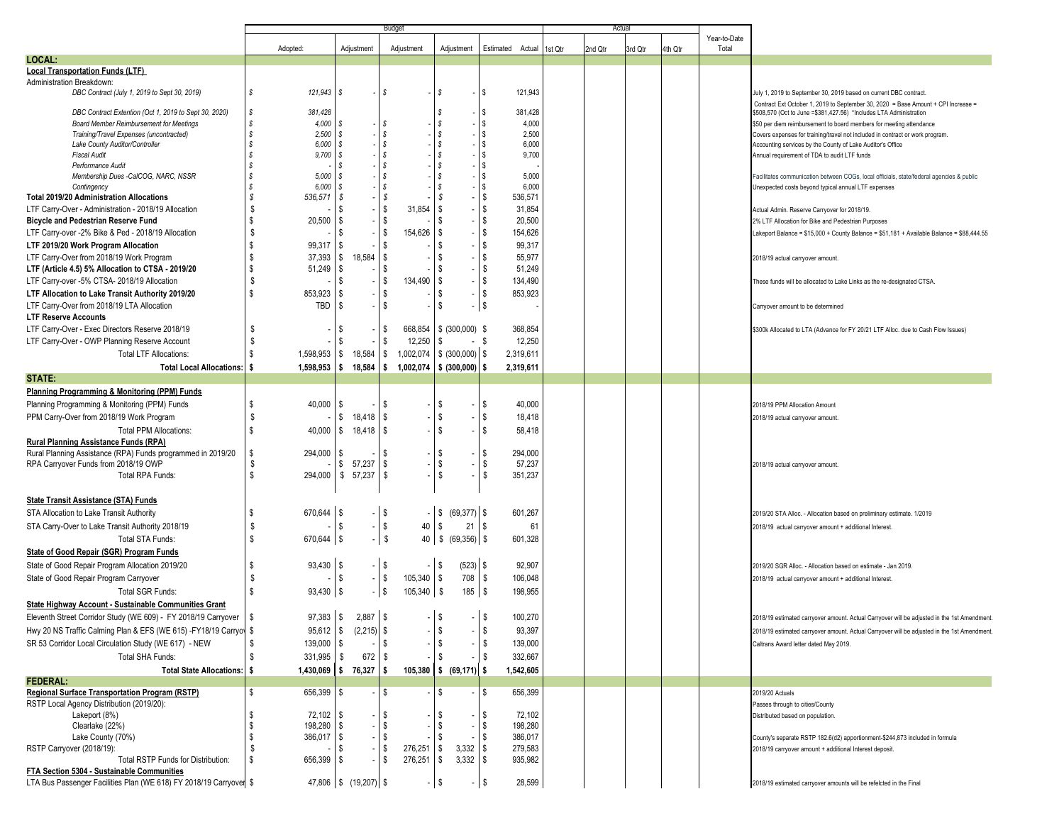|                                                                           | <b>Budget</b>                 |                           |                        |                                |                    |         | Actua   |         |         |                       |                                                                                                            |
|---------------------------------------------------------------------------|-------------------------------|---------------------------|------------------------|--------------------------------|--------------------|---------|---------|---------|---------|-----------------------|------------------------------------------------------------------------------------------------------------|
|                                                                           |                               |                           |                        |                                | Estimated Actual   |         |         |         |         | Year-to-Date<br>Total |                                                                                                            |
| LOCAL:                                                                    | Adopted:                      | Adjustment                | Adjustment             | Adjustment                     |                    | 1st Qtr | 2nd Qtr | 3rd Qtr | 4th Qtr |                       |                                                                                                            |
| <b>Local Transportation Funds (LTF)</b>                                   |                               |                           |                        |                                |                    |         |         |         |         |                       |                                                                                                            |
| Administration Breakdown:                                                 |                               |                           |                        |                                |                    |         |         |         |         |                       |                                                                                                            |
| DBC Contract (July 1, 2019 to Sept 30, 2019)                              | s<br>$121.943$ \$             |                           | S                      | s                              | 121,943<br>-1\$    |         |         |         |         |                       | July 1, 2019 to September 30, 2019 based on current DBC contract                                           |
|                                                                           |                               |                           |                        |                                |                    |         |         |         |         |                       | Contract Ext October 1, 2019 to September 30, 2020 = Base Amount + CPI Increase =                          |
| DBC Contract Extention (Oct 1, 2019 to Sept 30, 2020)                     | S<br>381,428                  |                           |                        | <b>S</b>                       | 381,428<br>S.      |         |         |         |         |                       | \$508,570 (Oct to June = \$381,427.56) *Includes LTA Administration                                        |
| <b>Board Member Reimbursement for Meetings</b>                            | s<br>4,000                    |                           | - \$                   | $\mathcal{S}$                  | 4,000              |         |         |         |         |                       | \$50 per diem reimbursement to board members for meeting attendance                                        |
| Training/Travel Expenses (uncontracted)<br>Lake County Auditor/Controller | s<br>2,500<br>s<br>6,000      | -S                        | $\mathcal{S}$<br>S     | \$<br>S                        | 2,500<br>6,000     |         |         |         |         |                       | Covers expenses for training/travel not included in contract or work program.                              |
| <b>Fiscal Audit</b>                                                       | s<br>9,700                    | IS.                       | 8                      | -S                             | 9,700              |         |         |         |         |                       | Accounting services by the County of Lake Auditor's Office<br>Annual requirement of TDA to audit LTF funds |
| Performance Audit                                                         | s                             |                           | - S                    | S                              |                    |         |         |         |         |                       |                                                                                                            |
| Membership Dues -CalCOG, NARC, NSSR                                       | s<br>5,000                    |                           | $\mathcal{S}$          | <b>S</b>                       | 5,000              |         |         |         |         |                       | Facilitates communication between COGs, local officials, state/federal agencies & public                   |
| Contingency                                                               | s<br>6.000                    |                           | S                      | \$                             | 6,000<br>l \$      |         |         |         |         |                       | Unexpected costs beyond typical annual LTF expenses                                                        |
| <b>Total 2019/20 Administration Allocations</b>                           | S<br>536,571                  | - \$                      | - \$                   | S                              | 536,571            |         |         |         |         |                       |                                                                                                            |
| LTF Carry-Over - Administration - 2018/19 Allocation                      | \$                            | -S                        | \$<br>31,854           | \$                             | 31,854             |         |         |         |         |                       | Actual Admin. Reserve Carryover for 2018/19.                                                               |
| <b>Bicycle and Pedestrian Reserve Fund</b>                                | \$<br>20,500                  | - \$                      | \$                     | S                              | 20,500             |         |         |         |         |                       | 2% LTF Allocation for Bike and Pedestrian Purposes                                                         |
| LTF Carry-over -2% Bike & Ped - 2018/19 Allocation                        | \$                            | -S                        | 5<br>154,626           | l \$                           | 154,626            |         |         |         |         |                       | Lakeport Balance = \$15,000 + County Balance = \$51,181 + Available Balance = \$88,444.55                  |
| LTF 2019/20 Work Program Allocation                                       | \$<br>99,317                  | l \$                      | 5                      | \$                             | 99,317             |         |         |         |         |                       |                                                                                                            |
| LTF Carry-Over from 2018/19 Work Program                                  | \$<br>$37,393$ \$             | 18,584                    | <b>S</b>               | \$                             | 55,977<br>S.       |         |         |         |         |                       | 2018/19 actual carryover amount.                                                                           |
| LTF (Article 4.5) 5% Allocation to CTSA - 2019/20                         | S<br>51,249                   | - \$                      | 5                      | \$                             | -S<br>51,249       |         |         |         |         |                       |                                                                                                            |
| LTF Carry-over -5% CTSA- 2018/19 Allocation                               | \$                            | -S                        | <b>S</b><br>134,490    | <b>S</b>                       | 134,490            |         |         |         |         |                       | These funds will be allocated to Lake Links as the re-designated CTSA                                      |
| LTF Allocation to Lake Transit Authority 2019/20                          | \$<br>853,923                 | - \$                      | $\sqrt{3}$             | s                              | s.<br>853,923      |         |         |         |         |                       |                                                                                                            |
| LTF Carry-Over from 2018/19 LTA Allocation                                | TBD S                         |                           | <b>S</b>               | \$                             | - IS               |         |         |         |         |                       | Carryover amount to be determined                                                                          |
| <b>LTF Reserve Accounts</b>                                               |                               |                           |                        |                                |                    |         |         |         |         |                       |                                                                                                            |
| LTF Carry-Over - Exec Directors Reserve 2018/19                           | S.                            | -S                        | -\$<br>668,854         | $\frac{1}{2}$ (300,000) \$     | 368,854            |         |         |         |         |                       | \$300k Allocated to LTA (Advance for FY 20/21 LTF Alloc. due to Cash Flow Issues)                          |
| LTF Carry-Over - OWP Planning Reserve Account                             | \$                            |                           | <b>S</b><br>12,250     | \$                             | 12,250<br>- \$     |         |         |         |         |                       |                                                                                                            |
| <b>Total LTF Allocations:</b>                                             | \$<br>$1,598,953$ \$          | 18,584                    | l \$<br>1,002,074      | $$ (300,000)$ \ \$             | 2,319,611          |         |         |         |         |                       |                                                                                                            |
| <b>Total Local Allocations:</b>                                           | ŝ<br>1,598,953                | 18,584<br>l S             | 1,002,074<br>\$        | $$ (300,000)$ $$$              | 2,319,611          |         |         |         |         |                       |                                                                                                            |
| STATE:                                                                    |                               |                           |                        |                                |                    |         |         |         |         |                       |                                                                                                            |
| Planning Programming & Monitoring (PPM) Funds                             |                               |                           |                        |                                |                    |         |         |         |         |                       |                                                                                                            |
| Planning Programming & Monitoring (PPM) Funds                             | s.<br>40,000                  | -S                        | l \$                   | l \$                           | s.<br>40,000       |         |         |         |         |                       | 2018/19 PPM Allocation Amount                                                                              |
| PPM Carry-Over from 2018/19 Work Program                                  | \$                            | 18,418<br>\$              | l \$                   | $\sqrt{3}$                     | 18,418<br>Ŝ.       |         |         |         |         |                       |                                                                                                            |
| <b>Total PPM Allocations:</b>                                             | \$                            |                           |                        | $\mathsf{s}$                   |                    |         |         |         |         |                       | 2018/19 actual carryover amount.                                                                           |
| Rural Planning Assistance Funds (RPA)                                     | $40,000$ \$                   | $18,418$ \ \$             |                        |                                | 58,418             |         |         |         |         |                       |                                                                                                            |
| Rural Planning Assistance (RPA) Funds programmed in 2019/20               | s.<br>294,000                 | -S                        | l \$                   | $-1$ \$                        | - IS<br>294,000    |         |         |         |         |                       |                                                                                                            |
| RPA Carryover Funds from 2018/19 OWP                                      | S                             | 57,237<br>\$              | <b>S</b>               | $\sqrt{3}$                     | \$<br>57,237       |         |         |         |         |                       | 2018/19 actual carryover amount.                                                                           |
| Total RPA Funds:                                                          | \$<br>294,000 \$              | 57,237                    | l \$                   | s.                             | -S<br>351,237      |         |         |         |         |                       |                                                                                                            |
|                                                                           |                               |                           |                        |                                |                    |         |         |         |         |                       |                                                                                                            |
| <b>State Transit Assistance (STA) Funds</b>                               |                               |                           |                        |                                |                    |         |         |         |         |                       |                                                                                                            |
| STA Allocation to Lake Transit Authority                                  | 670,644<br>\$                 | l \$                      | l \$                   | $(69, 377)$ \$<br>l \$         | 601,267            |         |         |         |         |                       |                                                                                                            |
|                                                                           | \$                            | -S                        | $\sqrt{ }$<br>40       | $\sqrt{3}$<br>$21 \, \text{S}$ | 61                 |         |         |         |         |                       | 2019/20 STA Alloc. - Allocation based on preliminary estimate. 1/2019                                      |
| STA Carry-Over to Lake Transit Authority 2018/19                          |                               |                           |                        |                                |                    |         |         |         |         |                       | 2018/19 actual carryover amount + additional Interest.                                                     |
| Total STA Funds:                                                          | s<br>$670,644$ \ \$           |                           | -1\$<br>40             | l\$<br>$(69,356)$ \$           | 601,328            |         |         |         |         |                       |                                                                                                            |
| State of Good Repair (SGR) Program Funds                                  |                               |                           |                        |                                |                    |         |         |         |         |                       |                                                                                                            |
| State of Good Repair Program Allocation 2019/20                           | $93,430$ \ \$<br>\$           |                           | $-1$ \$                | $(523)$ \$<br>$-1$ \$          | 92,907             |         |         |         |         |                       | 2019/20 SGR Alloc. - Allocation based on estimate - Jan 2019                                               |
| State of Good Repair Program Carryover                                    | \$                            | -\$                       | $-$ \$<br>105,340      | l \$<br>$708$ \ \ \$           | 106,048            |         |         |         |         |                       | 2018/19 actual carryover amount + additional Interest.                                                     |
| Total SGR Funds:                                                          | $\mathbb{S}$<br>$93,430$ \ \$ |                           | - IS<br>105,340        | \$<br>$185$ \$                 | 198,955            |         |         |         |         |                       |                                                                                                            |
| State Highway Account - Sustainable Communities Grant                     |                               |                           |                        |                                |                    |         |         |         |         |                       |                                                                                                            |
| Eleventh Street Corridor Study (WE 609) - FY 2018/19 Carryover            | $97,383$ \$                   | $2,887$ \ \$              |                        | l \$                           | $-1$ \$<br>100,270 |         |         |         |         |                       | 2018/19 estimated carryover amount. Actual Carryover will be adjusted in the 1st Amendment.                |
| Hwy 20 NS Traffic Calming Plan & EFS (WE 615) -FY18/19 Carryov \$         | $95,612$ \$                   | $(2,215)$ \$              |                        | l S                            | 93,397<br>ა        |         |         |         |         |                       | 2018/19 estimated carryover amount. Actual Carryover will be adjusted in the 1st Amendment.                |
| SR 53 Corridor Local Circulation Study (WE 617) - NEW                     | s.<br>$139,000$ \ \$          |                           | -\$                    | \$                             | \$<br>139,000      |         |         |         |         |                       | Caltrans Award letter dated May 2019.                                                                      |
| Total SHA Funds:                                                          | \$<br>$331,995$ \$            | 672                       | l \$                   | S                              | \$<br>332,667      |         |         |         |         |                       |                                                                                                            |
| Total State Allocations:   \$                                             |                               | $1,430,069$ \$ 76,327 \$  |                        | 105,380 \$ (69,171) \$         | 1,542,605          |         |         |         |         |                       |                                                                                                            |
| <b>FEDERAL:</b>                                                           |                               |                           |                        |                                |                    |         |         |         |         |                       |                                                                                                            |
| Regional Surface Transportation Program (RSTP)                            | \$<br>$656,399$ \\$           |                           | \$                     | \$                             | 656,399<br>s.      |         |         |         |         |                       | 2019/20 Actuals                                                                                            |
| RSTP Local Agency Distribution (2019/20):                                 |                               |                           |                        |                                |                    |         |         |         |         |                       | Passes through to cities/County                                                                            |
| Lakeport (8%)                                                             | $72,102$ \ \$<br>\$           |                           | l \$                   | <b>S</b>                       | \$<br>72,102       |         |         |         |         |                       | Distributed based on population.                                                                           |
| Clearlake (22%)                                                           | $198,280$ \ \$<br>s.          |                           | l \$                   | \$                             | 198,280<br>\$      |         |         |         |         |                       |                                                                                                            |
| Lake County (70%)                                                         | S<br>$386,017$ \$             |                           | \$                     | s.                             | 386,017<br>\$      |         |         |         |         |                       | County's separate RSTP 182.6(d2) apportionment-\$244,873 included in formula                               |
| RSTP Carryover (2018/19):                                                 | S.                            | -\$                       | l \$<br>$276,251$ \ \$ |                                | 279,583            |         |         |         |         |                       | 2018/19 carryover amount + additional Interest deposit.                                                    |
| Total RSTP Funds for Distribution:                                        | \$<br>$656,399$ \\$           |                           | <b>S</b><br>276,251    | $3,332$ \$<br>l \$             | 935,982            |         |         |         |         |                       |                                                                                                            |
| FTA Section 5304 - Sustainable Communities                                |                               |                           |                        |                                |                    |         |         |         |         |                       |                                                                                                            |
| LTA Bus Passenger Facilities Plan (WE 618) FY 2018/19 Carryover \$        |                               | $47,806$ \$ $(19,207)$ \$ |                        | $-1$ \$                        | $-$ \$<br>28,599   |         |         |         |         |                       | 2018/19 estimated carryover amounts will be refelcted in the Final                                         |